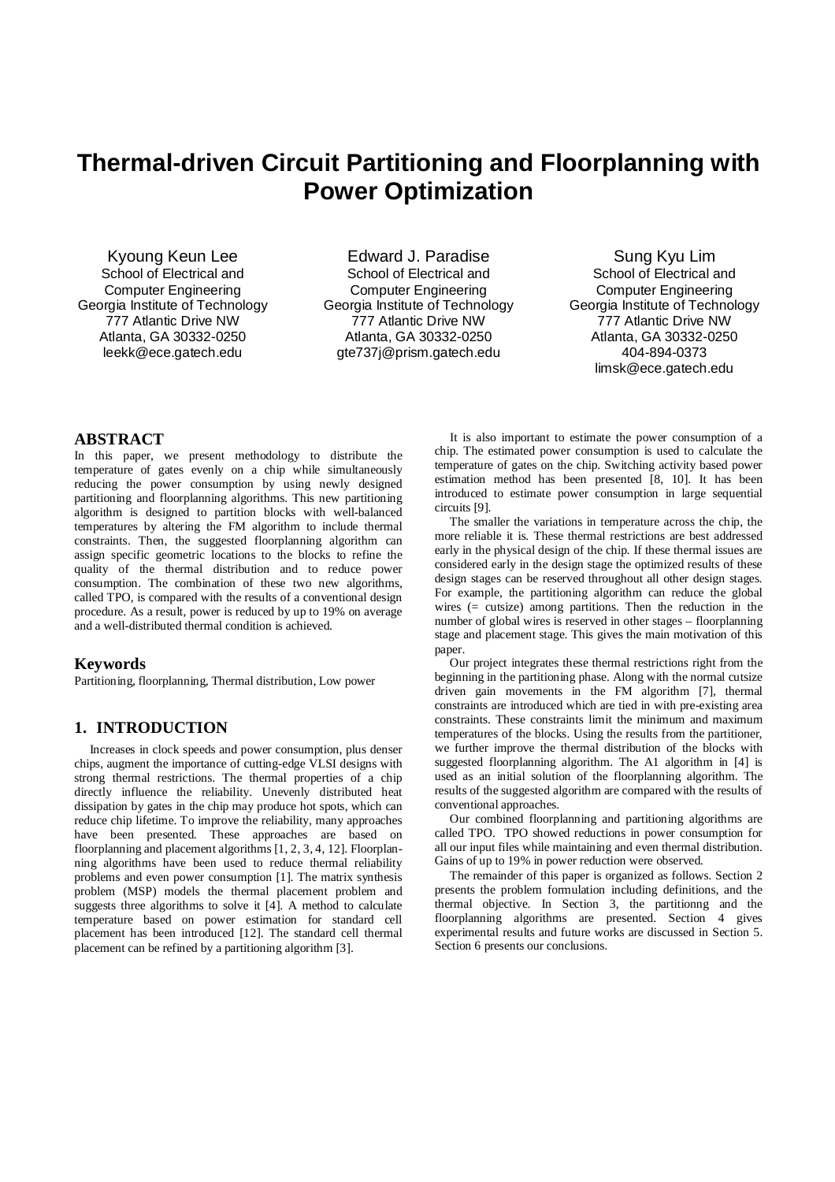# **Thermal-driven Circuit Partitioning and Floorplanning with Power Optimization**

Kyoung Keun Lee School of Electrical and Computer Engineering Georgia Institute of Technology 777 Atlantic Drive NW Atlanta, GA 30332-0250 leekk@ece.gatech.edu

Edward J. Paradise School of Electrical and Computer Engineering Georgia Institute of Technology 777 Atlantic Drive NW Atlanta, GA 30332-0250 gte737j@prism.gatech.edu

Sung Kyu Lim School of Electrical and Computer Engineering Georgia Institute of Technology 777 Atlantic Drive NW Atlanta, GA 30332-0250 404-894-0373 limsk@ece.gatech.edu

#### **ABSTRACT**

In this paper, we present methodology to distribute the temperature of gates evenly on a chip while simultaneously reducing the power consumption by using newly designed partitioning and floorplanning algorithms. This new partitioning algorithm is designed to partition blocks with well-balanced temperatures by altering the FM algorithm to include thermal constraints. Then, the suggested floorplanning algorithm can assign specific geometric locations to the blocks to refine the quality of the thermal distribution and to reduce power consumption. The combination of these two new algorithms, called TPO, is compared with the results of a conventional design procedure. As a result, power is reduced by up to 19% on average and a well-distributed thermal condition is achieved.

#### **Keywords**

Partitioning, floorplanning, Thermal distribution, Low power

# **1. INTRODUCTION**

 Increases in clock speeds and power consumption, plus denser chips, augment the importance of cutting-edge VLSI designs with strong thermal restrictions. The thermal properties of a chip directly influence the reliability. Unevenly distributed heat dissipation by gates in the chip may produce hot spots, which can reduce chip lifetime. To improve the reliability, many approaches have been presented. These approaches are based on floorplanning and placement algorithms [1, 2, 3, 4, 12]. Floorplanning algorithms have been used to reduce thermal reliability problems and even power consumption [1]. The matrix synthesis problem (MSP) models the thermal placement problem and suggests three algorithms to solve it [4]. A method to calculate temperature based on power estimation for standard cell placement has been introduced [12]. The standard cell thermal placement can be refined by a partitioning algorithm [3].

 It is also important to estimate the power consumption of a chip. The estimated power consumption is used to calculate the temperature of gates on the chip. Switching activity based power estimation method has been presented [8, 10]. It has been introduced to estimate power consumption in large sequential circuits [9].

 The smaller the variations in temperature across the chip, the more reliable it is. These thermal restrictions are best addressed early in the physical design of the chip. If these thermal issues are considered early in the design stage the optimized results of these design stages can be reserved throughout all other design stages. For example, the partitioning algorithm can reduce the global wires (= cutsize) among partitions. Then the reduction in the number of global wires is reserved in other stages – floorplanning stage and placement stage. This gives the main motivation of this paper.

 Our project integrates these thermal restrictions right from the beginning in the partitioning phase. Along with the normal cutsize driven gain movements in the FM algorithm [7], thermal constraints are introduced which are tied in with pre-existing area constraints. These constraints limit the minimum and maximum temperatures of the blocks. Using the results from the partitioner, we further improve the thermal distribution of the blocks with suggested floorplanning algorithm. The A1 algorithm in [4] is used as an initial solution of the floorplanning algorithm. The results of the suggested algorithm are compared with the results of conventional approaches.

 Our combined floorplanning and partitioning algorithms are called TPO. TPO showed reductions in power consumption for all our input files while maintaining and even thermal distribution. Gains of up to 19% in power reduction were observed.

 The remainder of this paper is organized as follows. Section 2 presents the problem formulation including definitions, and the thermal objective. In Section 3, the partitionng and the floorplanning algorithms are presented. Section 4 gives experimental results and future works are discussed in Section 5. Section 6 presents our conclusions.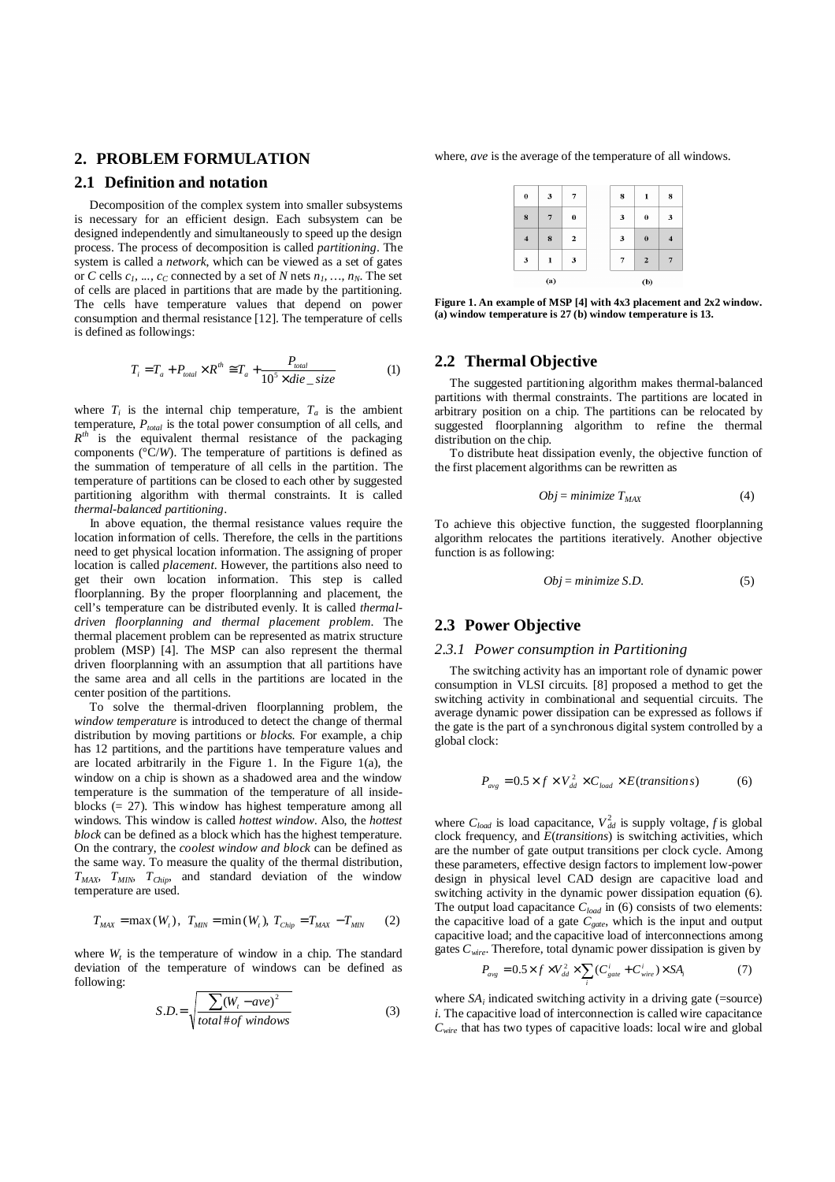## **2. PROBLEM FORMULATION**

#### **2.1 Definition and notation**

 Decomposition of the complex system into smaller subsystems is necessary for an efficient design. Each subsystem can be designed independently and simultaneously to speed up the design process. The process of decomposition is called *partitioning*. The system is called a *network*, which can be viewed as a set of gates or *C* cells  $c_1$ , ...,  $c_C$  connected by a set of *N* nets  $n_1$ , ...,  $n_N$ . The set of cells are placed in partitions that are made by the partitioning. The cells have temperature values that depend on power consumption and thermal resistance [12]. The temperature of cells is defined as followings:

$$
T_i = T_a + P_{total} \times R^{th} \cong T_a + \frac{P_{total}}{10^5 \times die\_size}
$$
 (1)

where  $T_i$  is the internal chip temperature,  $T_a$  is the ambient temperature, *Ptotal* is the total power consumption of all cells, and  $R^{th}$  is the equivalent thermal resistance of the packaging components (°C/*W*). The temperature of partitions is defined as the summation of temperature of all cells in the partition. The temperature of partitions can be closed to each other by suggested partitioning algorithm with thermal constraints. It is called *thermal-balanced partitioning*.

 In above equation, the thermal resistance values require the location information of cells. Therefore, the cells in the partitions need to get physical location information. The assigning of proper location is called *placement*. However, the partitions also need to get their own location information. This step is called floorplanning. By the proper floorplanning and placement, the cell's temperature can be distributed evenly. It is called *thermaldriven floorplanning and thermal placement problem*. The thermal placement problem can be represented as matrix structure problem (MSP) [4]. The MSP can also represent the thermal driven floorplanning with an assumption that all partitions have the same area and all cells in the partitions are located in the center position of the partitions.

 To solve the thermal-driven floorplanning problem, the *window temperature* is introduced to detect the change of thermal distribution by moving partitions or *blocks*. For example, a chip has 12 partitions, and the partitions have temperature values and are located arbitrarily in the Figure 1. In the Figure  $1(a)$ , the window on a chip is shown as a shadowed area and the window temperature is the summation of the temperature of all insideblocks (= 27). This window has highest temperature among all windows. This window is called *hottest window.* Also, the *hottest block* can be defined as a block which has the highest temperature. On the contrary, the *coolest window and block* can be defined as the same way. To measure the quality of the thermal distribution, *TMAX, TMIN, TChip*, and standard deviation of the window temperature are used.

$$
T_{MAX} = \max(W_t), \ T_{MIN} = \min(W_t), \ T_{Chip} = T_{MAX} - T_{MIN}
$$
 (2)

where  $W_t$  is the temperature of window in a chip. The standard deviation of the temperature of windows can be defined as following:

$$
S.D. = \sqrt{\frac{\sum (W_t - ave)^2}{total \# of \ windows}}
$$
 (3)

where, *ave* is the average of the temperature of all windows.

| $\pmb{0}$      | 3            | 7              |  | 8 | 1              |
|----------------|--------------|----------------|--|---|----------------|
| 8              | 7            | $\bf{0}$       |  | 3 | $\bf{0}$       |
| $\overline{4}$ | 8            | $\overline{2}$ |  | 3 | $\bf{0}$       |
| $\mathbf{3}$   | $\mathbf{1}$ | 3              |  | 7 | $\overline{2}$ |
| (a)            |              |                |  |   | (b)            |

**Figure 1. An example of MSP [4] with 4x3 placement and 2x2 window. (a) window temperature is 27 (b) window temperature is 13.** 

# **2.2 Thermal Objective**

 The suggested partitioning algorithm makes thermal-balanced partitions with thermal constraints. The partitions are located in arbitrary position on a chip. The partitions can be relocated by suggested floorplanning algorithm to refine the thermal distribution on the chip.

 To distribute heat dissipation evenly, the objective function of the first placement algorithms can be rewritten as

$$
Obj = minimize T_{MAX} \tag{4}
$$

To achieve this objective function, the suggested floorplanning algorithm relocates the partitions iteratively. Another objective function is as following:

$$
Obj = minimize S.D.
$$
 (5)

# **2.3 Power Objective**

#### *2.3.1 Power consumption in Partitioning*

 The switching activity has an important role of dynamic power consumption in VLSI circuits. [8] proposed a method to get the switching activity in combinational and sequential circuits. The average dynamic power dissipation can be expressed as follows if the gate is the part of a synchronous digital system controlled by a global clock:

$$
P_{avg} = 0.5 \times f \times V_{dd}^{2} \times C_{load} \times E(transitions)
$$
 (6)

where  $C_{load}$  is load capacitance,  $V_{dd}^2$  is supply voltage, f is global clock frequency, and *E*(*transitions*) is switching activities, which are the number of gate output transitions per clock cycle. Among these parameters, effective design factors to implement low-power design in physical level CAD design are capacitive load and switching activity in the dynamic power dissipation equation (6). The output load capacitance *Cload* in (6) consists of two elements: the capacitive load of a gate *Cgate*, which is the input and output capacitive load; and the capacitive load of interconnections among gates *Cwire*. Therefore, total dynamic power dissipation is given by

$$
P_{avg} = 0.5 \times f \times V_{dd}^2 \times \sum (C_{gate}^i + C_{wire}^i) \times SA_i
$$
 (7)

where  $SA_i$  indicated switching activity in a driving gate (=source) *i*. The capacitive load of interconnection is called wire capacitance  $C<sub>wire</sub>$  that has two types of capacitive loads: local wire and global

*i*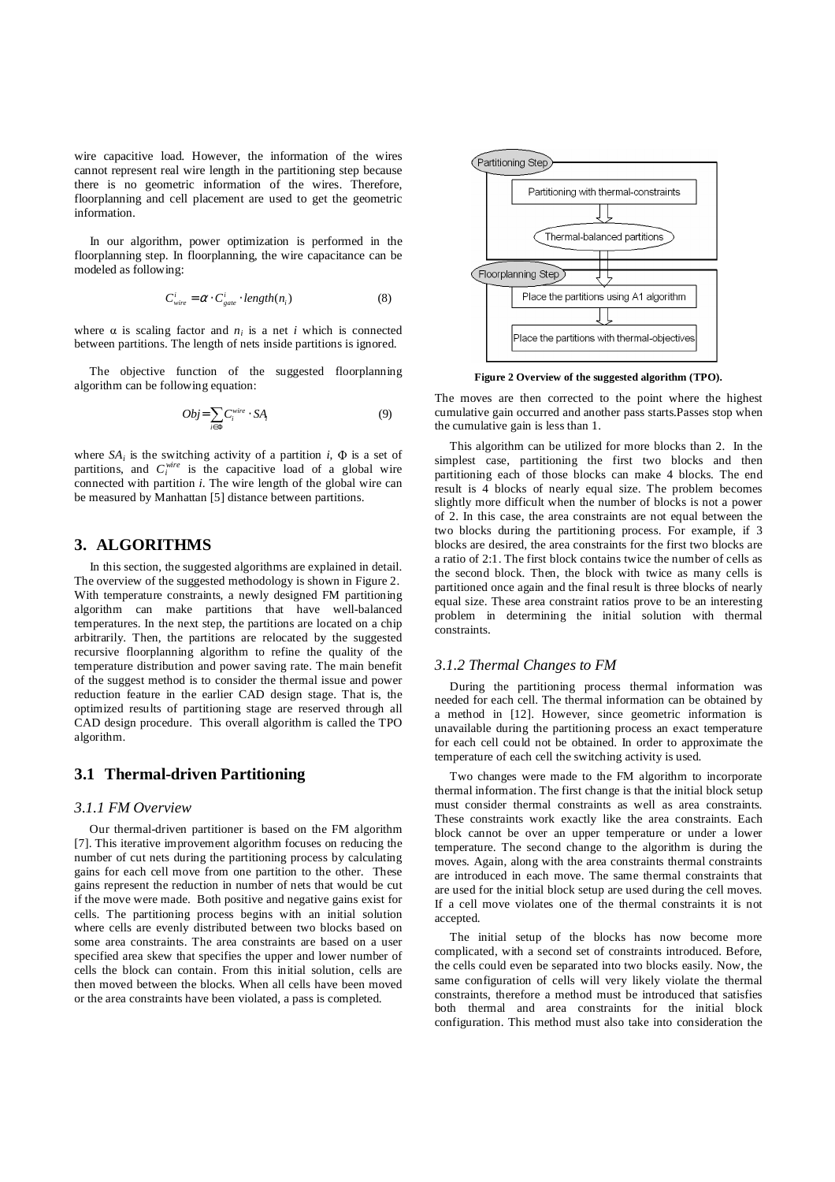wire capacitive load. However, the information of the wires cannot represent real wire length in the partitioning step because there is no geometric information of the wires. Therefore, floorplanning and cell placement are used to get the geometric information.

 In our algorithm, power optimization is performed in the floorplanning step. In floorplanning, the wire capacitance can be modeled as following:

$$
C_{wire}^i = \alpha \cdot C_{gate}^i \cdot length(n_i)
$$
 (8)

where  $\alpha$  is scaling factor and  $n_i$  is a net *i* which is connected between partitions. The length of nets inside partitions is ignored.

 The objective function of the suggested floorplanning algorithm can be following equation:

$$
Obj = \sum_{i \in \Phi} C_i^{wire} \cdot SA_i \tag{9}
$$

where  $SA_i$  is the switching activity of a partition *i*,  $\Phi$  is a set of partitions, and  $C_i^{wire}$  is the capacitive load of a global wire connected with partition *i*. The wire length of the global wire can be measured by Manhattan [5] distance between partitions.

## **3. ALGORITHMS**

 In this section, the suggested algorithms are explained in detail. The overview of the suggested methodology is shown in Figure 2. With temperature constraints, a newly designed FM partitioning algorithm can make partitions that have well-balanced temperatures. In the next step, the partitions are located on a chip arbitrarily. Then, the partitions are relocated by the suggested recursive floorplanning algorithm to refine the quality of the temperature distribution and power saving rate. The main benefit of the suggest method is to consider the thermal issue and power reduction feature in the earlier CAD design stage. That is, the optimized results of partitioning stage are reserved through all CAD design procedure. This overall algorithm is called the TPO algorithm.

# **3.1 Thermal-driven Partitioning**

#### *3.1.1 FM Overview*

 Our thermal-driven partitioner is based on the FM algorithm [7]. This iterative improvement algorithm focuses on reducing the number of cut nets during the partitioning process by calculating gains for each cell move from one partition to the other. These gains represent the reduction in number of nets that would be cut if the move were made. Both positive and negative gains exist for cells. The partitioning process begins with an initial solution where cells are evenly distributed between two blocks based on some area constraints. The area constraints are based on a user specified area skew that specifies the upper and lower number of cells the block can contain. From this initial solution, cells are then moved between the blocks. When all cells have been moved or the area constraints have been violated, a pass is completed.



**Figure 2 Overview of the suggested algorithm (TPO).**

The moves are then corrected to the point where the highest cumulative gain occurred and another pass starts.Passes stop when the cumulative gain is less than 1.

 This algorithm can be utilized for more blocks than 2. In the simplest case, partitioning the first two blocks and then partitioning each of those blocks can make 4 blocks. The end result is 4 blocks of nearly equal size. The problem becomes slightly more difficult when the number of blocks is not a power of 2. In this case, the area constraints are not equal between the two blocks during the partitioning process. For example, if 3 blocks are desired, the area constraints for the first two blocks are a ratio of 2:1. The first block contains twice the number of cells as the second block. Then, the block with twice as many cells is partitioned once again and the final result is three blocks of nearly equal size. These area constraint ratios prove to be an interesting problem in determining the initial solution with thermal constraints.

#### *3.1.2 Thermal Changes to FM*

 During the partitioning process thermal information was needed for each cell. The thermal information can be obtained by a method in [12]. However, since geometric information is unavailable during the partitioning process an exact temperature for each cell could not be obtained. In order to approximate the temperature of each cell the switching activity is used.

 Two changes were made to the FM algorithm to incorporate thermal information. The first change is that the initial block setup must consider thermal constraints as well as area constraints. These constraints work exactly like the area constraints. Each block cannot be over an upper temperature or under a lower temperature. The second change to the algorithm is during the moves. Again, along with the area constraints thermal constraints are introduced in each move. The same thermal constraints that are used for the initial block setup are used during the cell moves. If a cell move violates one of the thermal constraints it is not accepted.

 The initial setup of the blocks has now become more complicated, with a second set of constraints introduced. Before, the cells could even be separated into two blocks easily. Now, the same configuration of cells will very likely violate the thermal constraints, therefore a method must be introduced that satisfies both thermal and area constraints for the initial block configuration. This method must also take into consideration the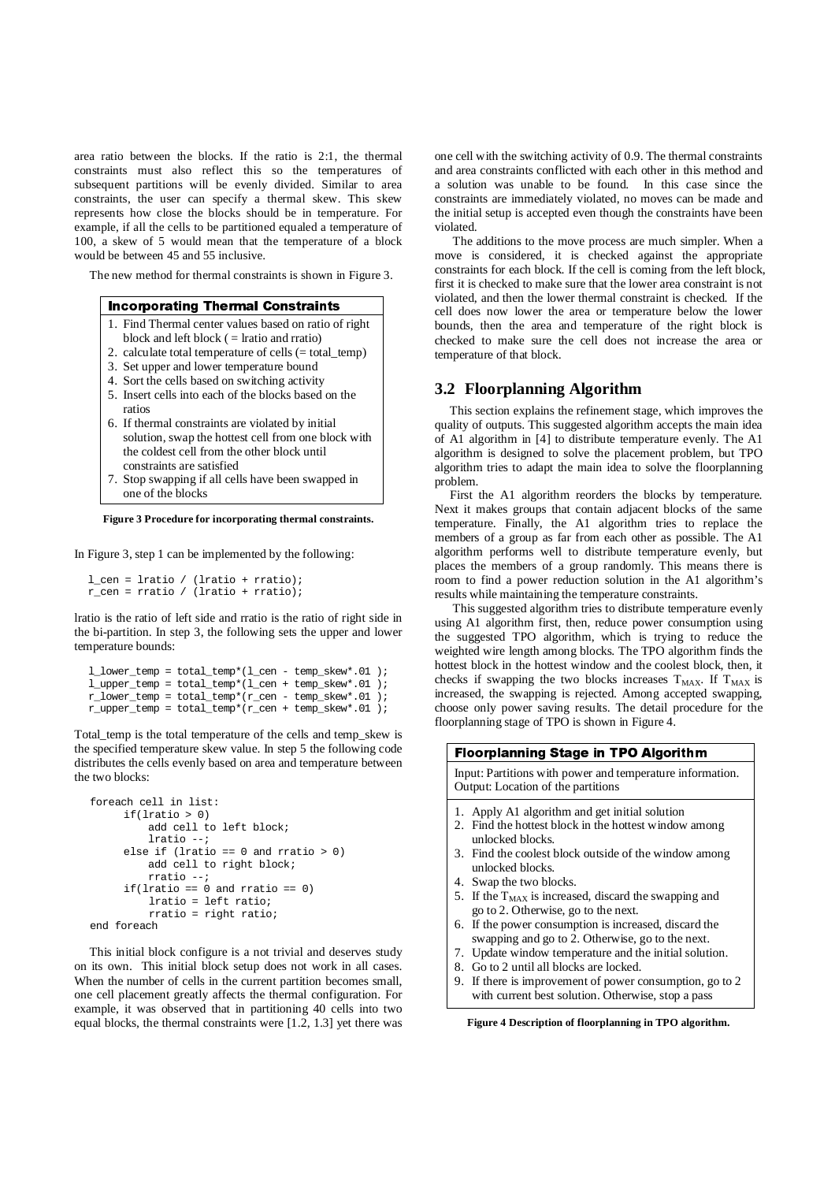area ratio between the blocks. If the ratio is 2:1, the thermal constraints must also reflect this so the temperatures of subsequent partitions will be evenly divided. Similar to area constraints, the user can specify a thermal skew. This skew represents how close the blocks should be in temperature. For example, if all the cells to be partitioned equaled a temperature of 100, a skew of 5 would mean that the temperature of a block would be between 45 and 55 inclusive.

The new method for thermal constraints is shown in Figure 3.

## **Incorporating Thermal Constraints**

- 1. Find Thermal center values based on ratio of right
- block and left block  $($  = lratio and rratio)
- 2. calculate total temperature of cells (= total\_temp)
- 3. Set upper and lower temperature bound
- 4. Sort the cells based on switching activity
- 5. Insert cells into each of the blocks based on the ratios
- 6. If thermal constraints are violated by initial solution, swap the hottest cell from one block with the coldest cell from the other block until constraints are satisfied
- 7. Stop swapping if all cells have been swapped in one of the blocks

**Figure 3 Procedure for incorporating thermal constraints.** 

In Figure 3, step 1 can be implemented by the following:

```
l_cen = lratio / (lratio + rratio); 
r_cen = rratio / (lratio + rratio);
```
lratio is the ratio of left side and rratio is the ratio of right side in the bi-partition. In step 3, the following sets the upper and lower temperature bounds:

```
l_lower_temp = total_temp*(l_cen - temp_skew*.01 );
l_upper_temp = total_temp*(l_cen + temp_skew*.01 );
r_l = r \cdot r \cdot \text{temp} = \text{total} \cdot \text{temp} \cdot (r \cdot \text{cen} - \text{temp} \cdot \text{skew} \cdot \text{cm} \cdot \text{cm} \cdot \text{cm}r_upper_temp = total_temp*(r_cen + temp_skew*.01 );
```
Total\_temp is the total temperature of the cells and temp\_skew is the specified temperature skew value. In step 5 the following code distributes the cells evenly based on area and temperature between the two blocks:

```
foreach cell in list: 
      if(lratio > 0) 
           add cell to left block; 
           lratio --; 
       else if (lratio == 0 and rratio > 0) 
           add cell to right block; 
           rratio --; 
      if(lratio == 0 and rratio == 0)
           lratio = left ratio; 
           rratio = right ratio; 
end foreach
```
 This initial block configure is a not trivial and deserves study on its own. This initial block setup does not work in all cases. When the number of cells in the current partition becomes small, one cell placement greatly affects the thermal configuration. For example, it was observed that in partitioning 40 cells into two equal blocks, the thermal constraints were [1.2, 1.3] yet there was one cell with the switching activity of 0.9. The thermal constraints and area constraints conflicted with each other in this method and a solution was unable to be found. In this case since the constraints are immediately violated, no moves can be made and the initial setup is accepted even though the constraints have been violated.

 The additions to the move process are much simpler. When a move is considered, it is checked against the appropriate constraints for each block. If the cell is coming from the left block, first it is checked to make sure that the lower area constraint is not violated, and then the lower thermal constraint is checked. If the cell does now lower the area or temperature below the lower bounds, then the area and temperature of the right block is checked to make sure the cell does not increase the area or temperature of that block.

#### **3.2 Floorplanning Algorithm**

 This section explains the refinement stage, which improves the quality of outputs. This suggested algorithm accepts the main idea of A1 algorithm in [4] to distribute temperature evenly. The A1 algorithm is designed to solve the placement problem, but TPO algorithm tries to adapt the main idea to solve the floorplanning problem.

 First the A1 algorithm reorders the blocks by temperature. Next it makes groups that contain adjacent blocks of the same temperature. Finally, the A1 algorithm tries to replace the members of a group as far from each other as possible. The A1 algorithm performs well to distribute temperature evenly, but places the members of a group randomly. This means there is room to find a power reduction solution in the A1 algorithm's results while maintaining the temperature constraints.

 This suggested algorithm tries to distribute temperature evenly using A1 algorithm first, then, reduce power consumption using the suggested TPO algorithm, which is trying to reduce the weighted wire length among blocks. The TPO algorithm finds the hottest block in the hottest window and the coolest block, then, it checks if swapping the two blocks increases  $T_{MAX}$ . If  $T_{MAX}$  is increased, the swapping is rejected. Among accepted swapping, choose only power saving results. The detail procedure for the floorplanning stage of TPO is shown in Figure 4.

| <b>Floorplanning Stage in TPO Algorithm</b> |                                                                                                                             |  |  |  |  |  |
|---------------------------------------------|-----------------------------------------------------------------------------------------------------------------------------|--|--|--|--|--|
|                                             | Input: Partitions with power and temperature information.<br>Output: Location of the partitions                             |  |  |  |  |  |
|                                             | 1. Apply A1 algorithm and get initial solution<br>2. Find the hottest block in the hottest window among<br>unlocked blocks. |  |  |  |  |  |
|                                             | 3. Find the coolest block outside of the window among<br>unlocked blocks.                                                   |  |  |  |  |  |
|                                             | 4. Swap the two blocks.                                                                                                     |  |  |  |  |  |
|                                             | 5. If the $T_{MAX}$ is increased, discard the swapping and<br>go to 2. Otherwise, go to the next.                           |  |  |  |  |  |
|                                             | 6. If the power consumption is increased, discard the<br>swapping and go to 2. Otherwise, go to the next.                   |  |  |  |  |  |
|                                             | 7. Update window temperature and the initial solution.                                                                      |  |  |  |  |  |
|                                             | 8. Go to 2 until all blocks are locked.                                                                                     |  |  |  |  |  |
|                                             | 9. If there is improvement of power consumption, go to 2<br>with current best solution. Otherwise, stop a pass              |  |  |  |  |  |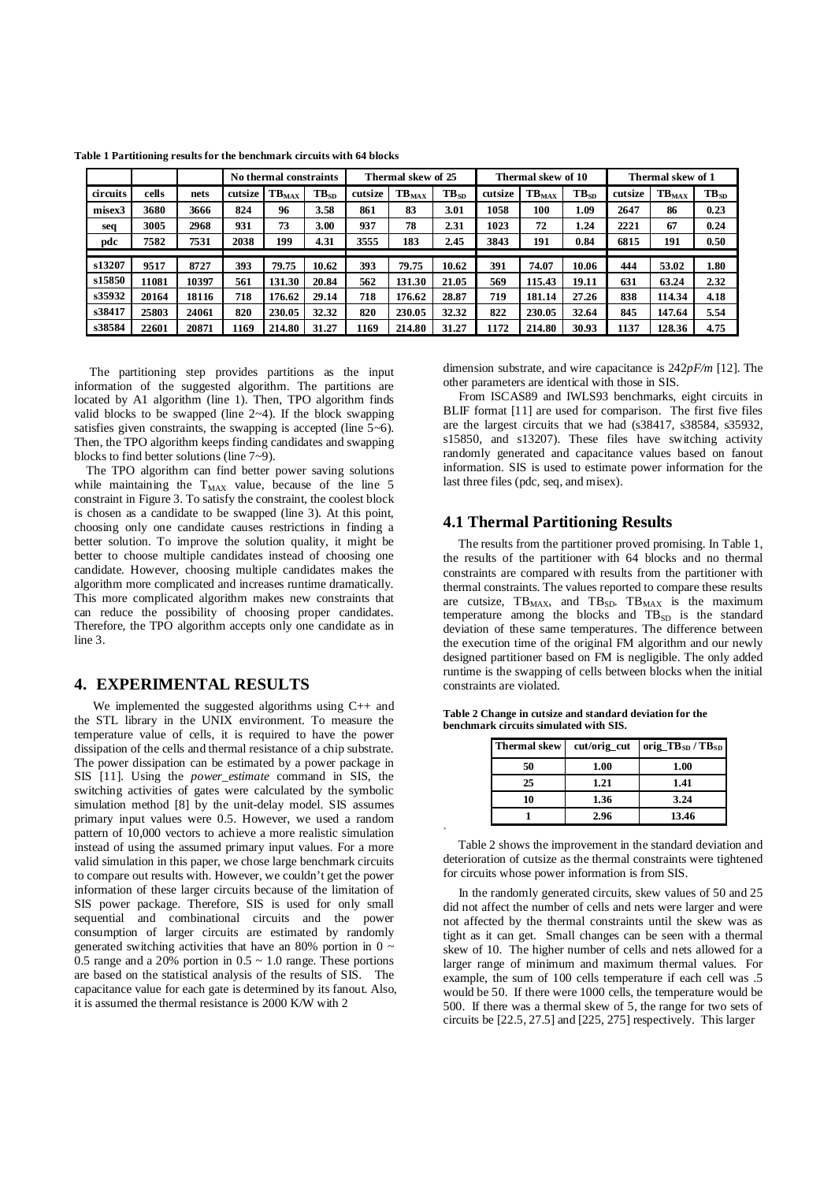|          |       |       | No thermal constraints |                   | Thermal skew of 25 |         |                   | Thermal skew of 10 |         |                   | Thermal skew of 1 |         |            |           |
|----------|-------|-------|------------------------|-------------------|--------------------|---------|-------------------|--------------------|---------|-------------------|-------------------|---------|------------|-----------|
| circuits | cells | nets  | cutsize                | TB <sub>MAX</sub> | $TB_{SD}$          | cutsize | TB <sub>MAX</sub> | TB <sub>SD</sub>   | cutsize | TB <sub>MAX</sub> | $TB_{SD}$         | cutsize | $TB_{MAX}$ | $TB_{SD}$ |
| misex3   | 3680  | 3666  | 824                    | 96                | 3.58               | 861     | 83                | 3.01               | 1058    | 100               | 1.09              | 2647    | 86         | 0.23      |
| seq      | 3005  | 2968  | 931                    | 73                | 3.00               | 937     | 78                | 2.31               | 1023    | 72                | 1.24              | 2221    | 67         | 0.24      |
| pdc      | 7582  | 7531  | 2038                   | 199               | 4.31               | 3555    | 183               | 2.45               | 3843    | 191               | 0.84              | 6815    | 191        | 0.50      |
|          |       |       |                        |                   |                    |         |                   |                    |         |                   |                   |         |            |           |
| s13207   | 9517  | 8727  | 393                    | 79.75             | 10.62              | 393     | 79.75             | 10.62              | 391     | 74.07             | 10.06             | 444     | 53.02      | 1.80      |
| s15850   | 11081 | 10397 | 561                    | 131.30            | 20.84              | 562     | 131.30            | 21.05              | 569     | 115.43            | 19.11             | 631     | 63.24      | 2.32      |
| s35932   | 20164 | 18116 | 718                    | 176.62            | 29.14              | 718     | 176.62            | 28.87              | 719     | 181.14            | 27.26             | 838     | 114.34     | 4.18      |
| s38417   | 25803 | 24061 | 820                    | 230.05            | 32.32              | 820     | 230.05            | 32.32              | 822     | 230.05            | 32.64             | 845     | 147.64     | 5.54      |
| s38584   | 22601 | 20871 | 1169                   | 214.80            | 31.27              | 1169    | 214.80            | 31.27              | 1172    | 214.80            | 30.93             | 1137    | 128.36     | 4.75      |

**Table 1 Partitioning results for the benchmark circuits with 64 blocks** 

 The partitioning step provides partitions as the input information of the suggested algorithm. The partitions are located by A1 algorithm (line 1). Then, TPO algorithm finds valid blocks to be swapped (line  $2\neg 4$ ). If the block swapping satisfies given constraints, the swapping is accepted (line 5~6). Then, the TPO algorithm keeps finding candidates and swapping blocks to find better solutions (line 7~9).

 The TPO algorithm can find better power saving solutions while maintaining the  $T_{MAX}$  value, because of the line 5 constraint in Figure 3. To satisfy the constraint, the coolest block is chosen as a candidate to be swapped (line 3). At this point, choosing only one candidate causes restrictions in finding a better solution. To improve the solution quality, it might be better to choose multiple candidates instead of choosing one candidate. However, choosing multiple candidates makes the algorithm more complicated and increases runtime dramatically. This more complicated algorithm makes new constraints that can reduce the possibility of choosing proper candidates. Therefore, the TPO algorithm accepts only one candidate as in line 3.

## **4. EXPERIMENTAL RESULTS**

 We implemented the suggested algorithms using C++ and the STL library in the UNIX environment. To measure the temperature value of cells, it is required to have the power dissipation of the cells and thermal resistance of a chip substrate. The power dissipation can be estimated by a power package in SIS [11]. Using the *power\_estimate* command in SIS, the switching activities of gates were calculated by the symbolic simulation method [8] by the unit-delay model. SIS assumes primary input values were 0.5. However, we used a random pattern of 10,000 vectors to achieve a more realistic simulation instead of using the assumed primary input values. For a more valid simulation in this paper, we chose large benchmark circuits to compare out results with. However, we couldn't get the power information of these larger circuits because of the limitation of SIS power package. Therefore, SIS is used for only small sequential and combinational circuits and the power consumption of larger circuits are estimated by randomly generated switching activities that have an 80% portion in 0  $\sim$ 0.5 range and a 20% portion in  $0.5 \sim 1.0$  range. These portions are based on the statistical analysis of the results of SIS. The capacitance value for each gate is determined by its fanout. Also, it is assumed the thermal resistance is 2000 K/W with 2

dimension substrate, and wire capacitance is 242*pF/m* [12]. The other parameters are identical with those in SIS.

 From ISCAS89 and IWLS93 benchmarks, eight circuits in BLIF format [11] are used for comparison. The first five files are the largest circuits that we had (s38417, s38584, s35932, s15850, and s13207). These files have switching activity randomly generated and capacitance values based on fanout information. SIS is used to estimate power information for the last three files (pdc, seq, and misex).

#### **4.1 Thermal Partitioning Results**

 The results from the partitioner proved promising. In Table 1, the results of the partitioner with 64 blocks and no thermal constraints are compared with results from the partitioner with thermal constraints. The values reported to compare these results are cutsize,  $TB_{MAX}$ , and  $TB_{SD}$ .  $TB_{MAX}$  is the maximum temperature among the blocks and  $TB<sub>SD</sub>$  is the standard deviation of these same temperatures. The difference between the execution time of the original FM algorithm and our newly designed partitioner based on FM is negligible. The only added runtime is the swapping of cells between blocks when the initial constraints are violated.

| <b>Thermal skew</b> | $cut/orig_cut$ | orig_TB $_{SD}$ /TB $_{SD}$ |
|---------------------|----------------|-----------------------------|
| 50                  | 1.00           | 1.00                        |
| 25                  | 1.21           | 1.41                        |
| 10                  | 1.36           | 3.24                        |
|                     | 2.96           | 13.46                       |

**Table 2 Change in cutsize and standard deviation for the benchmark circuits simulated with SIS.** 

`

 Table 2 shows the improvement in the standard deviation and deterioration of cutsize as the thermal constraints were tightened for circuits whose power information is from SIS.

 In the randomly generated circuits, skew values of 50 and 25 did not affect the number of cells and nets were larger and were not affected by the thermal constraints until the skew was as tight as it can get. Small changes can be seen with a thermal skew of 10. The higher number of cells and nets allowed for a larger range of minimum and maximum thermal values. For example, the sum of 100 cells temperature if each cell was .5 would be 50. If there were 1000 cells, the temperature would be 500. If there was a thermal skew of 5, the range for two sets of circuits be [22.5, 27.5] and [225, 275] respectively. This larger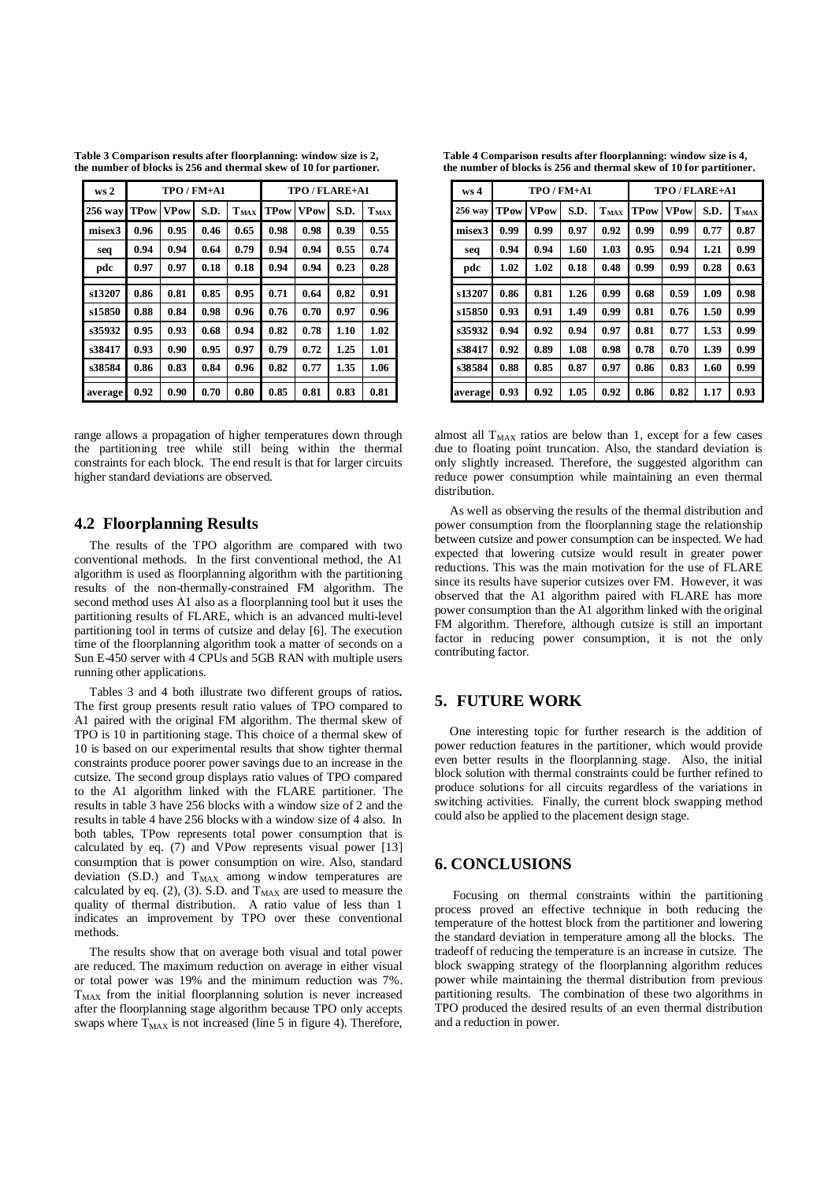**Table 3 Comparison results after floorplanning: window size is 2, the number of blocks is 256 and thermal skew of 10 for partioner.** 

| ws <sub>2</sub> |             |             | $TPO/FM+A1$ |           | TPO/FLARE+A1 |             |      |           |  |
|-----------------|-------------|-------------|-------------|-----------|--------------|-------------|------|-----------|--|
| 256 way         | <b>TPow</b> | <b>VPow</b> | S.D.        | $T_{MAX}$ | <b>TPow</b>  | <b>VPow</b> | S.D. | $T_{MAX}$ |  |
| misex3          | 0.96        | 0.95        | 0.46        | 0.65      | 0.98         | 0.98        | 0.39 | 0.55      |  |
| seq             | 0.94        | 0.94        | 0.64        | 0.79      | 0.94         | 0.94        | 0.55 | 0.74      |  |
| pdc             | 0.97        | 0.97        | 0.18        | 0.18      | 0.94         | 0.94        | 0.23 | 0.28      |  |
|                 |             |             |             |           |              |             |      |           |  |
| s13207          | 0.86        | 0.81        | 0.85        | 0.95      | 0.71         | 0.64        | 0.82 | 0.91      |  |
| s15850          | 0.88        | 0.84        | 0.98        | 0.96      | 0.76         | 0.70        | 0.97 | 0.96      |  |
| s35932          | 0.95        | 0.93        | 0.68        | 0.94      | 0.82         | 0.78        | 1.10 | 1.02      |  |
| s38417          | 0.93        | 0.90        | 0.95        | 0.97      | 0.79         | 0.72        | 1.25 | 1.01      |  |
| s38584          | 0.86        | 0.83        | 0.84        | 0.96      | 0.82         | 0.77        | 1.35 | 1.06      |  |
|                 |             |             |             |           |              |             |      |           |  |
| average         | 0.92        | 0.90        | 0.70        | 0.80      | 0.85         | 0.81        | 0.83 | 0.81      |  |

range allows a propagation of higher temperatures down through the partitioning tree while still being within the thermal constraints for each block. The end result is that for larger circuits higher standard deviations are observed.

#### **4.2 Floorplanning Results**

 The results of the TPO algorithm are compared with two conventional methods. In the first conventional method, the A1 algorithm is used as floorplanning algorithm with the partitioning results of the non-thermally-constrained FM algorithm. The second method uses A1 also as a floorplanning tool but it uses the partitioning results of FLARE, which is an advanced multi-level partitioning tool in terms of cutsize and delay [6]. The execution time of the floorplanning algorithm took a matter of seconds on a Sun E-450 server with 4 CPUs and 5GB RAN with multiple users running other applications.

 Tables 3 and 4 both illustrate two different groups of ratios**.**  The first group presents result ratio values of TPO compared to A1 paired with the original FM algorithm. The thermal skew of TPO is 10 in partitioning stage. This choice of a thermal skew of 10 is based on our experimental results that show tighter thermal constraints produce poorer power savings due to an increase in the cutsize. The second group displays ratio values of TPO compared to the A1 algorithm linked with the FLARE partitioner. The results in table 3 have 256 blocks with a window size of 2 and the results in table 4 have 256 blocks with a window size of 4 also. In both tables, TPow represents total power consumption that is calculated by eq. (7) and VPow represents visual power [13] consumption that is power consumption on wire. Also, standard deviation  $(S.D.)$  and  $T<sub>MAX</sub>$  among window temperatures are calculated by eq. (2), (3). S.D. and  $T_{MAX}$  are used to measure the quality of thermal distribution. A ratio value of less than 1 indicates an improvement by TPO over these conventional methods.

 The results show that on average both visual and total power are reduced. The maximum reduction on average in either visual or total power was 19% and the minimum reduction was 7%.  $T<sub>MAX</sub>$  from the initial floorplanning solution is never increased after the floorplanning stage algorithm because TPO only accepts swaps where  $T_{MAX}$  is not increased (line 5 in figure 4). Therefore,

**Table 4 Comparison results after floorplanning: window size is 4, the number of blocks is 256 and thermal skew of 10 for partitioner.** 

| ws <sub>4</sub> |             | TPO / FM+A1 |      |           | TPO/FLARE+A1 |             |      |           |  |
|-----------------|-------------|-------------|------|-----------|--------------|-------------|------|-----------|--|
| 256 way         | <b>TPow</b> | <b>VPow</b> | S.D. | $T_{MAX}$ | <b>TPow</b>  | <b>VPow</b> | S.D. | $T_{MAX}$ |  |
| misex3          | 0.99        | 0.99        | 0.97 | 0.92      | 0.99         | 0.99        | 0.77 | 0.87      |  |
| seq             | 0.94        | 0.94        | 1.60 | 1.03      | 0.95         | 0.94        | 1.21 | 0.99      |  |
| pdc             | 1.02        | 1.02        | 0.18 | 0.48      | 0.99         | 0.99        | 0.28 | 0.63      |  |
|                 |             |             |      |           |              |             |      |           |  |
| s13207          | 0.86        | 0.81        | 1.26 | 0.99      | 0.68         | 0.59        | 1.09 | 0.98      |  |
| s15850          | 0.93        | 0.91        | 1.49 | 0.99      | 0.81         | 0.76        | 1.50 | 0.99      |  |
| s35932          | 0.94        | 0.92        | 0.94 | 0.97      | 0.81         | 0.77        | 1.53 | 0.99      |  |
| s38417          | 0.92        | 0.89        | 1.08 | 0.98      | 0.78         | 0.70        | 1.39 | 0.99      |  |
| s38584          | 0.88        | 0.85        | 0.87 | 0.97      | 0.86         | 0.83        | 1.60 | 0.99      |  |
|                 |             |             |      |           |              |             |      |           |  |
| average         | 0.93        | 0.92        | 1.05 | 0.92      | 0.86         | 0.82        | 1.17 | 0.93      |  |

almost all  $T<sub>MAX</sub>$  ratios are below than 1, except for a few cases due to floating point truncation. Also, the standard deviation is only slightly increased. Therefore, the suggested algorithm can reduce power consumption while maintaining an even thermal distribution.

 As well as observing the results of the thermal distribution and power consumption from the floorplanning stage the relationship between cutsize and power consumption can be inspected. We had expected that lowering cutsize would result in greater power reductions. This was the main motivation for the use of FLARE since its results have superior cutsizes over FM. However, it was observed that the A1 algorithm paired with FLARE has more power consumption than the A1 algorithm linked with the original FM algorithm. Therefore, although cutsize is still an important factor in reducing power consumption, it is not the only contributing factor.

# **5. FUTURE WORK**

 One interesting topic for further research is the addition of power reduction features in the partitioner, which would provide even better results in the floorplanning stage. Also, the initial block solution with thermal constraints could be further refined to produce solutions for all circuits regardless of the variations in switching activities. Finally, the current block swapping method could also be applied to the placement design stage.

# **6. CONCLUSIONS**

 Focusing on thermal constraints within the partitioning process proved an effective technique in both reducing the temperature of the hottest block from the partitioner and lowering the standard deviation in temperature among all the blocks. The tradeoff of reducing the temperature is an increase in cutsize. The block swapping strategy of the floorplanning algorithm reduces power while maintaining the thermal distribution from previous partitioning results. The combination of these two algorithms in TPO produced the desired results of an even thermal distribution and a reduction in power.